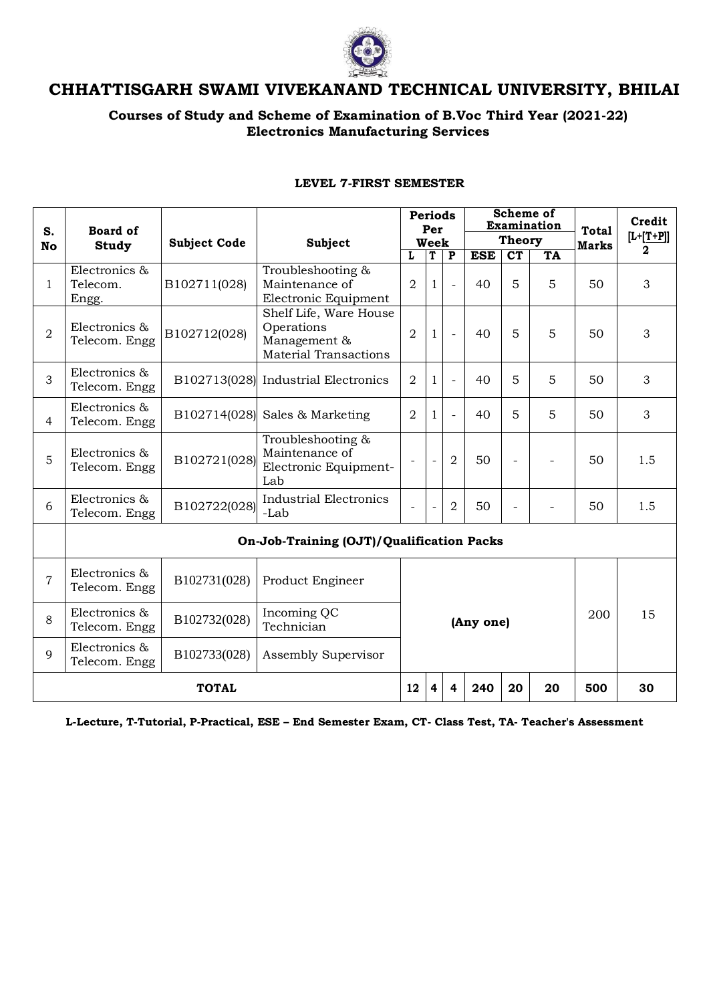

# **CHHATTISGARH SWAMI VIVEKANAND TECHNICAL UNIVERSITY, BHILAI**

## **Courses of Study and Scheme of Examination of B.Voc Third Year (2021-22) Electronics Manufacturing Services**

| S.             | <b>Board of</b><br><b>Study</b>           | <b>Subject Code</b> | Subject                                                                              | <b>Periods</b><br>Per<br>Week |   |                         | <b>Scheme of</b><br>Examination |                          |           | <b>Total</b><br><b>Marks</b> | Credit<br>$[L+[T+P]]$<br>$\overline{\mathbf{2}}$ |
|----------------|-------------------------------------------|---------------------|--------------------------------------------------------------------------------------|-------------------------------|---|-------------------------|---------------------------------|--------------------------|-----------|------------------------------|--------------------------------------------------|
| No             |                                           |                     |                                                                                      |                               |   |                         | <b>Theory</b>                   |                          |           |                              |                                                  |
|                |                                           |                     |                                                                                      | L                             | T | $\overline{\mathbf{P}}$ | <b>ESE</b>                      | CT                       | <b>TA</b> |                              |                                                  |
| 1              | Electronics &<br>Telecom.<br>Engg.        | B102711(028)        | Troubleshooting &<br>Maintenance of<br>Electronic Equipment                          | $\overline{2}$                | 1 |                         | 40                              | 5                        | 5         | 50                           | 3                                                |
| $\overline{2}$ | Electronics &<br>Telecom. Engg            | B102712(028)        | Shelf Life, Ware House<br>Operations<br>Management &<br><b>Material Transactions</b> | $\overline{2}$                | 1 | $\bar{a}$               | 40                              | 5                        | 5         | 50                           | $\mathfrak{Z}$                                   |
| 3              | Electronics &<br>Telecom. Engg            |                     | B102713(028) Industrial Electronics                                                  | $\overline{2}$                | 1 | $\blacksquare$          | 40                              | 5                        | 5         | 50                           | 3                                                |
| $\overline{4}$ | Electronics &<br>Telecom. Engg            |                     | $B102714(028)$ Sales & Marketing                                                     | $\overline{2}$                | 1 |                         | 40                              | 5                        | 5         | 50                           | 3                                                |
| 5              | Electronics &<br>Telecom. Engg            | B102721(028)        | Troubleshooting &<br>Maintenance of<br>Electronic Equipment-<br>Lab                  |                               |   | $\overline{2}$          | 50                              | $\overline{\phantom{0}}$ |           | 50                           | 1.5                                              |
| 6              | Electronics &<br>Telecom. Engg            | B102722(028)        | <b>Industrial Electronics</b><br>-Lab                                                |                               |   | $\overline{2}$          | 50                              | $\overline{a}$           |           | 50                           | 1.5                                              |
|                | On-Job-Training (OJT)/Qualification Packs |                     |                                                                                      |                               |   |                         |                                 |                          |           |                              |                                                  |
| 7              | Electronics &<br>Telecom. Engg            | B102731(028)        | Product Engineer                                                                     |                               |   |                         |                                 |                          |           |                              |                                                  |
| 8              | Electronics &<br>Telecom. Engg            | B102732(028)        | Incoming QC<br>Technician                                                            | 15<br>200<br>(Any one)        |   |                         |                                 |                          |           |                              |                                                  |
| 9              | Electronics &<br>Telecom. Engg            | B102733(028)        | Assembly Supervisor                                                                  |                               |   |                         |                                 |                          |           |                              |                                                  |
| <b>TOTAL</b>   |                                           |                     |                                                                                      | 12                            | 4 | 4                       | 240                             | 20                       | 20        | 500                          | 30                                               |

#### **LEVEL 7-FIRST SEMESTER**

**L-Lecture, T-Tutorial, P-Practical, ESE – End Semester Exam, CT- Class Test, TA- Teacher's Assessment**